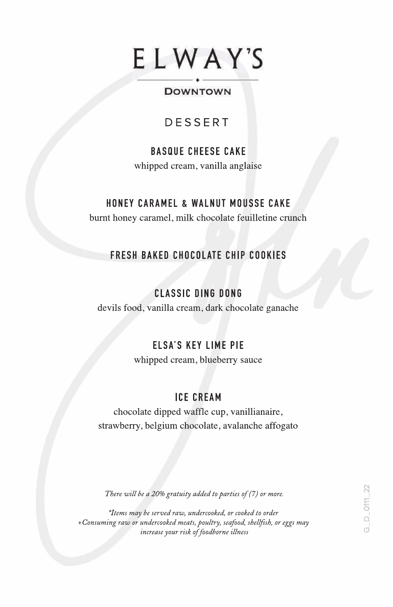# ELWAY'S

#### ----- . ----- DOWNTOWN

#### DESSERT

#### BASQUE CHEESE CAKE whipped cream, vanilla anglaise

#### HONEY CARAMEL & WALNUT MOUSSE CAKE

burnt honey caramel, milk chocolate feuilletine crunch

#### FRESH BAKED CHOCOLATE CHIP COOKIES

#### CLASSIC DING DONG

devils food, vanilla cream, dark chocolate ganache

#### ELSA'S KEY LIME PIE

whipped cream, blueberry sauce

#### ICE CREAM

chocolate dipped waffle cup, vanillianaire, strawberry, belgium chocolate, avalanche affogato

There will be a 20% gratuity added to parties of (7) or more.

\*Items may be served raw, undercooked, or cooked to order +Consuming raw or undercooked meats, poultry, seafood, shellfish, or eggs may increase your risk of foodborne illness